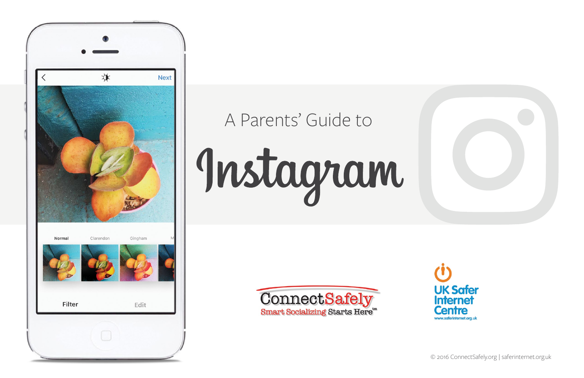

# A Parents' Guide to

Instagram



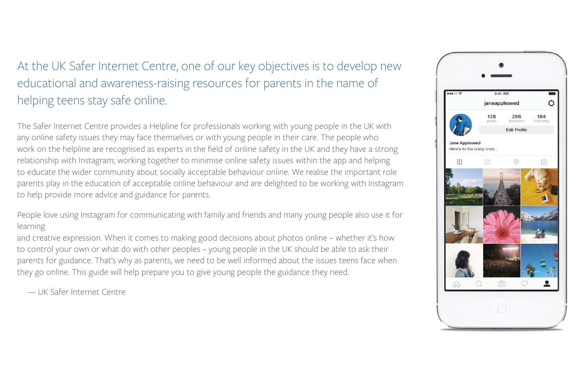### At the UK Safer Internet Centre, one of our key objectives is to develop new educational and awareness-raising resources for parents in the name of helping teens stay safe online.

The Safer Internet Centre provides a Helpline for professionals working with young people in the UK with any online safety issues they may face themselves or with young people in their care. The people who work on the helpline are recognised as experts in the field of online safety in the UK and they have a strong relationship with Instagram; working together to minimise online safety issues within the app and helping to educate the wider community about socially acceptable behaviour online. We realise the important role parents play in the education of acceptable online behaviour and are delighted to be working with Instagram to help provide more advice and guidance for parents.

People love using Instagram for communicating with family and friends and many young people also use it for learning

and creative expression. When it comes to making good decisions about photos online – whether it's how to control your own or what do with other peoples – young people in the UK should be able to ask their parents for guidance. That's why as parents, we need to be well informed about the issues teens face when they go online. This guide will help prepare you to give young people the guidance they need.

— UK Safer Internet Centre

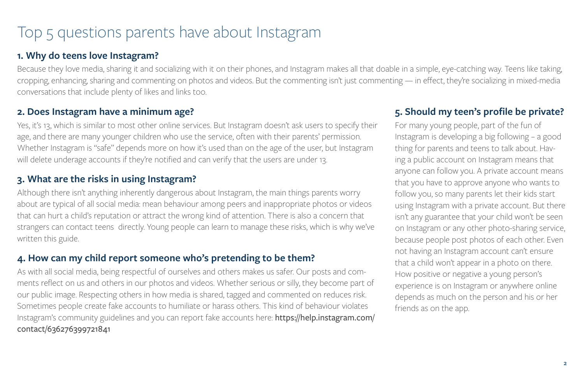### Top 5 questions parents have about Instagram

#### **1. Why do teens love Instagram?**

Because they love media, sharing it and socializing with it on their phones, and Instagram makes all that doable in a simple, eye-catching way. Teens like taking, cropping, enhancing, sharing and commenting on photos and videos. But the commenting isn't just commenting — in effect, they're socializing in mixed-media conversations that include plenty of likes and links too.

#### **2. Does Instagram have a minimum age?**

Yes, it's 13, which is similar to most other online services. But Instagram doesn't ask users to specify their age, and there are many younger children who use the service, often with their parents' permission. Whether Instagram is "safe" depends more on how it's used than on the age of the user, but Instagram will delete underage accounts if they're notified and can verify that the users are under 13.

#### **3. What are the risks in using Instagram?**

Although there isn't anything inherently dangerous about Instagram, the main things parents worry about are typical of all social media: mean behaviour among peers and inappropriate photos or videos that can hurt a child's reputation or attract the wrong kind of attention. There is also a concern that strangers can contact teens directly. Young people can learn to manage these risks, which is why we've written this guide.

#### **4. How can my child report someone who's pretending to be them?**

As with all social media, being respectful of ourselves and others makes us safer. Our posts and comments reflect on us and others in our photos and videos. Whether serious or silly, they become part of our public image. Respecting others in how media is shared, tagged and commented on reduces risk. Sometimes people create fake accounts to humiliate or harass others. This kind of behaviour violates Instagram's community guidelines and you can report fake accounts here: [https://help.instagram.com/](https://help.instagram.com/contact/636276399721841) [contact/636276399721841](https://help.instagram.com/contact/636276399721841)

#### **5. Should my teen's profile be private?**

For many young people, part of the fun of Instagram is developing a big following – a good thing for parents and teens to talk about. Having a public account on Instagram means that anyone can follow you. A private account means that you have to approve anyone who wants to follow you, so many parents let their kids start using Instagram with a private account. But there isn't any guarantee that your child won't be seen on Instagram or any other photo-sharing service, because people post photos of each other. Even not having an Instagram account can't ensure that a child won't appear in a photo on there. How positive or negative a young person's experience is on Instagram or anywhere online depends as much on the person and his or her friends as on the app.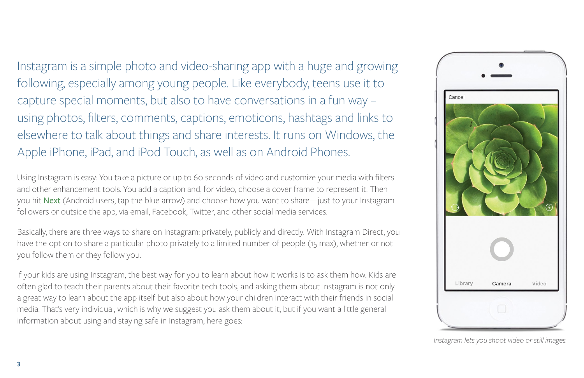Instagram is a simple photo and video-sharing app with a huge and growing following, especially among young people. Like everybody, teens use it to capture special moments, but also to have conversations in a fun way – using photos, filters, comments, captions, emoticons, hashtags and links to elsewhere to talk about things and share interests. It runs on Windows, the Apple iPhone, iPad, and iPod Touch, as well as on Android Phones.

Using Instagram is easy: You take a picture or up to 60 seconds of video and customize your media with filters and other enhancement tools. You add a caption and, for video, choose a cover frame to represent it. Then you hit Next (Android users, tap the blue arrow) and choose how you want to share—just to your Instagram followers or outside the app, via email, Facebook, Twitter, and other social media services.

Basically, there are three ways to share on Instagram: privately, publicly and directly. With Instagram Direct, you have the option to share a particular photo privately to a limited number of people (15 max), whether or not you follow them or they follow you.

If your kids are using Instagram, the best way for you to learn about how it works is to ask them how. Kids are often glad to teach their parents about their favorite tech tools, and asking them about Instagram is not only a great way to learn about the app itself but also about how your children interact with their friends in social media. That's very individual, which is why we suggest you ask them about it, but if you want a little general information about using and staying safe in Instagram, here goes:



 *Instagram lets you shoot video or still images.*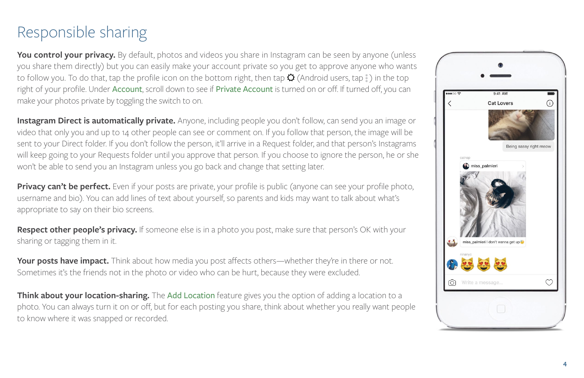### Responsible sharing

**You control your privacy.** By default, photos and videos you share in Instagram can be seen by anyone (unless you share them directly) but you can easily make your account private so you get to approve anyone who wants to follow you. To do that, tap the profile icon on the bottom right, then tap  $\Omega$  (Android users, tap ) in the top right of your profile. Under Account, scroll down to see if Private Account is turned on or off. If turned off, you can make your photos private by toggling the switch to on.

**Instagram Direct is automatically private.** Anyone, including people you don't follow, can send you an image or video that only you and up to 14 other people can see or comment on. If you follow that person, the image will be sent to your Direct folder. If you don't follow the person, it'll arrive in a Request folder, and that person's Instagrams will keep going to your Requests folder until you approve that person. If you choose to ignore the person, he or she won't be able to send you an Instagram unless you go back and change that setting later.

**Privacy can't be perfect.** Even if your posts are private, your profile is public (anyone can see your profile photo, username and bio). You can add lines of text about yourself, so parents and kids may want to talk about what's appropriate to say on their bio screens.

**Respect other people's privacy.** If someone else is in a photo you post, make sure that person's OK with your sharing or tagging them in it.

**Your posts have impact.** Think about how media you post affects others—whether they're in there or not. Sometimes it's the friends not in the photo or video who can be hurt, because they were excluded.

**Think about your location-sharing.** The Add Location feature gives you the option of adding a location to a photo. You can always turn it on or off, but for each posting you share, think about whether you really want people to know where it was snapped or recorded.

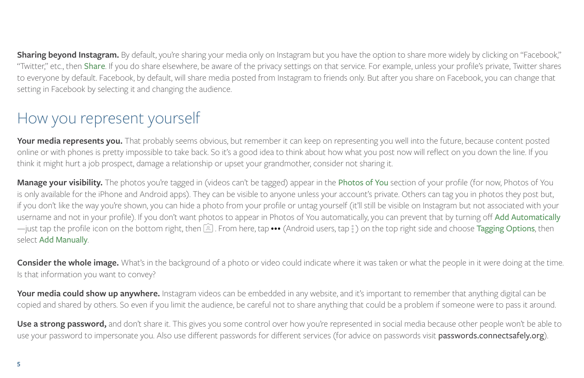**Sharing beyond Instagram.** By default, you're sharing your media only on Instagram but you have the option to share more widely by clicking on "Facebook," "Twitter," etc., then Share. If you do share elsewhere, be aware of the privacy settings on that service. For example, unless your profile's private, Twitter shares to everyone by default. Facebook, by default, will share media posted from Instagram to friends only. But after you share on Facebook, you can change that setting in Facebook by selecting it and changing the audience.

### How you represent yourself

**Your media represents you.** That probably seems obvious, but remember it can keep on representing you well into the future, because content posted online or with phones is pretty impossible to take back. So it's a good idea to think about how what you post now will reflect on you down the line. If you think it might hurt a job prospect, damage a relationship or upset your grandmother, consider not sharing it.

**Manage your visibility.** The photos you're tagged in (videos can't be tagged) appear in the Photos of You section of your profile (for now, Photos of You is only available for the iPhone and Android apps). They can be visible to anyone unless your account's private. Others can tag you in photos they post but, if you don't like the way you're shown, you can hide a photo from your profile or untag yourself (it'll still be visible on Instagram but not associated with your username and not in your profile). If you don't want photos to appear in Photos of You automatically, you can prevent that by turning off Add Automatically —just tap the profile icon on the bottom right, then  $[4]$ . From here, tap ••• (Android users, tap  $\stackrel{?}{\cdot}$ ) on the top right side and choose Tagging Options, then select Add Manually.

**Consider the whole image.** What's in the background of a photo or video could indicate where it was taken or what the people in it were doing at the time. Is that information you want to convey?

**Your media could show up anywhere.** Instagram videos can be embedded in any website, and it's important to remember that anything digital can be copied and shared by others. So even if you limit the audience, be careful not to share anything that could be a problem if someone were to pass it around.

Use a strong password, and don't share it. This gives you some control over how you're represented in social media because other people won't be able to use your password to impersonate you. Also use different passwords for different services (for advice on passwords visit passwords.connectsafely.org).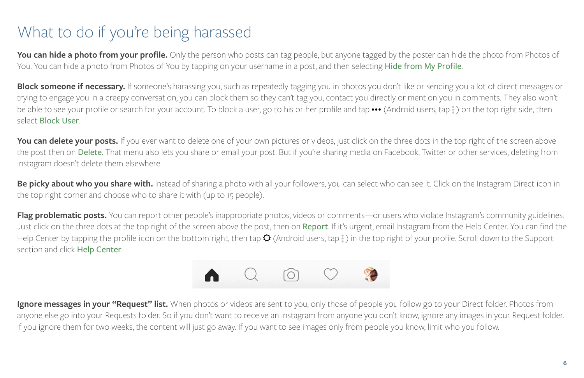### What to do if you're being harassed

**You can hide a photo from your profile.** Only the person who posts can tag people, but anyone tagged by the poster can hide the photo from Photos of You. You can hide a photo from Photos of You by tapping on your username in a post, and then selecting Hide from My Profile.

**Block someone if necessary.** If someone's harassing you, such as repeatedly tagging you in photos you don't like or sending you a lot of direct messages or trying to engage you in a creepy conversation, you can block them so they can't tag you, contact you directly or mention you in comments. They also won't be able to see your profile or search for your account. To block a user, go to his or her profile and tap **•••** (Android users, tap ) on the top right side, then select Block User.

You can delete your posts. If you ever want to delete one of your own pictures or videos, just click on the three dots in the top right of the screen above the post then on Delete. That menu also lets you share or email your post. But if you're sharing media on Facebook, Twitter or other services, deleting from Instagram doesn't delete them elsewhere.

Be picky about who you share with. Instead of sharing a photo with all your followers, you can select who can see it. Click on the Instagram Direct icon in the top right corner and choose who to share it with (up to 15 people).

Flag problematic posts. You can report other people's inappropriate photos, videos or comments—or users who violate Instagram's community guidelines. Just click on the three dots at the top right of the screen above the post, then on Report. If it's urgent, email Instagram from the Help Center. You can find the Help Center by tapping the profile icon on the bottom right, then tap  $\ddot{Q}$  (Android users, tap  $\ddot{i}$ ) in the top right of your profile. Scroll down to the Support section and click Help Center.



**Ignore messages in your "Request" list.** When photos or videos are sent to you, only those of people you follow go to your Direct folder. Photos from anyone else go into your Requests folder. So if you don't want to receive an Instagram from anyone you don't know, ignore any images in your Request folder. If you ignore them for two weeks, the content will just go away. If you want to see images only from people you know, limit who you follow.